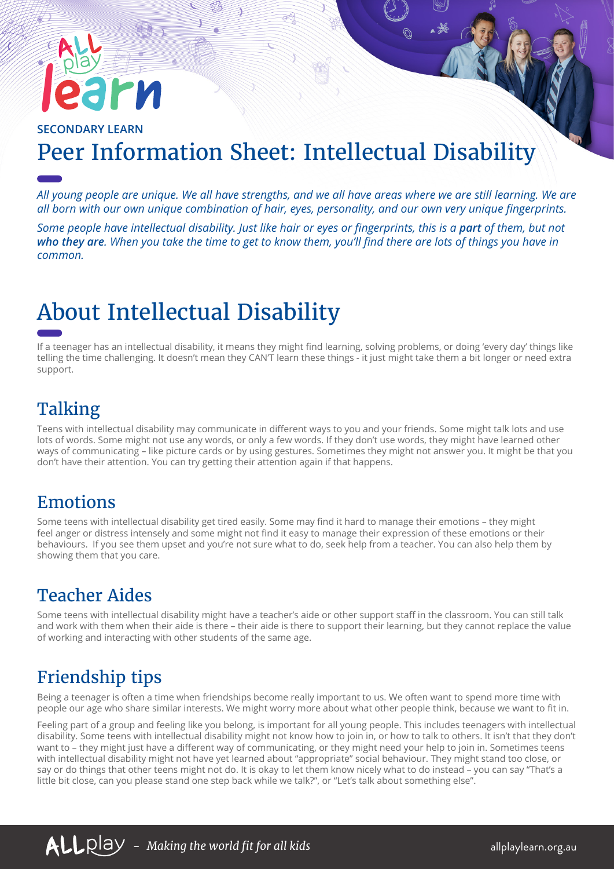# rи

#### **SECONDARY LEARN** Peer Information Sheet: Intellectual Disability

*All young people are unique. We all have strengths, and we all have areas where we are still learning. We are all born with our own unique combination of hair, eyes, personality, and our own very unique fingerprints.* 

*Some people have intellectual disability. Just like hair or eyes or fingerprints, this is a part of them, but not who they are. When you take the time to get to know them, you'll find there are lots of things you have in common.*

# About Intellectual Disability

If a teenager has an intellectual disability, it means they might find learning, solving problems, or doing 'every day' things like telling the time challenging. It doesn't mean they CAN'T learn these things - it just might take them a bit longer or need extra support.

#### **Talking**

Teens with intellectual disability may communicate in different ways to you and your friends. Some might talk lots and use lots of words. Some might not use any words, or only a few words. If they don't use words, they might have learned other ways of communicating – like picture cards or by using gestures. Sometimes they might not answer you. It might be that you don't have their attention. You can try getting their attention again if that happens.

#### Emotions

Some teens with intellectual disability get tired easily. Some may find it hard to manage their emotions – they might feel anger or distress intensely and some might not find it easy to manage their expression of these emotions or their behaviours. If you see them upset and you're not sure what to do, seek help from a teacher. You can also help them by showing them that you care.

#### Teacher Aides

Some teens with intellectual disability might have a teacher's aide or other support staff in the classroom. You can still talk and work with them when their aide is there – their aide is there to support their learning, but they cannot replace the value of working and interacting with other students of the same age.

### Friendship tips

Being a teenager is often a time when friendships become really important to us. We often want to spend more time with people our age who share similar interests. We might worry more about what other people think, because we want to fit in.

Feeling part of a group and feeling like you belong, is important for all young people. This includes teenagers with intellectual disability. Some teens with intellectual disability might not know how to join in, or how to talk to others. It isn't that they don't want to – they might just have a different way of communicating, or they might need your help to join in. Sometimes teens with intellectual disability might not have yet learned about "appropriate" social behaviour. They might stand too close, or say or do things that other teens might not do. It is okay to let them know nicely what to do instead – you can say "That's a little bit close, can you please stand one step back while we talk?", or "Let's talk about something else".